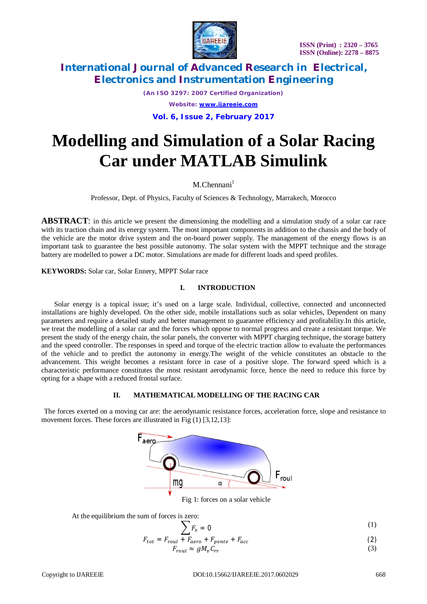

*(An ISO 3297: 2007 Certified Organization) Website: [www.ijareeie.com](http://www.ijareeie.com)* **Vol. 6, Issue 2, February 2017**

# **Modelling and Simulation of a Solar Racing Car under MATLAB Simulink**

 $M.C$ hennani<sup>1</sup>

Professor, Dept. of Physics, Faculty of Sciences & Technology, Marrakech, Morocco

**ABSTRACT**: in this article we present the dimensioning the modelling and a simulation study of a solar car race with its traction chain and its energy system. The most important components in addition to the chassis and the body of the vehicle are the motor drive system and the on-board power supply. The management of the energy flows is an important task to guarantee the best possible autonomy. The solar system with the MPPT technique and the storage battery are modelled to power a DC motor. Simulations are made for different loads and speed profiles.

**KEYWORDS:** Solar car, Solar Ennery, MPPT Solar race

#### **I. INTRODUCTION**

Solar energy is a topical issue; it's used on a large scale. Individual, collective, connected and unconnected installations are highly developed. On the other side, mobile installations such as solar vehicles, Dependent on many parameters and require a detailed study and better management to guarantee efficiency and profitability.In this article, we treat the modelling of a solar car and the forces which oppose to normal progress and create a resistant torque. We present the study of the energy chain, the solar panels, the converter with MPPT charging technique, the storage battery and the speed controller. The responses in speed and torque of the electric traction allow to evaluate the performances of the vehicle and to predict the autonomy in energy.The weight of the vehicle constitutes an obstacle to the advancement. This weight becomes a resistant force in case of a positive slope. The forward speed which is a characteristic performance constitutes the most resistant aerodynamic force, hence the need to reduce this force by opting for a shape with a reduced frontal surface.

#### **II. MATHEMATICAL MODELLING OF THE RACING CAR**

The forces exerted on a moving car are: the aerodynamic resistance forces, acceleration force, slope and resistance to movement forces. These forces are illustrated in Fig  $(1)$  [3,12,13]:



Fig 1: forces on a solar vehicle

At the equilibrium the sum of forces is zero:

$$
\sum F_x = 0 \tag{1}
$$

$$
F_{tot} = F_{roul} + F_{aero} + F_{pente} + F_{acc}
$$
  
\n
$$
F_{roul} \approx gM_v C_{rr}
$$
 (3)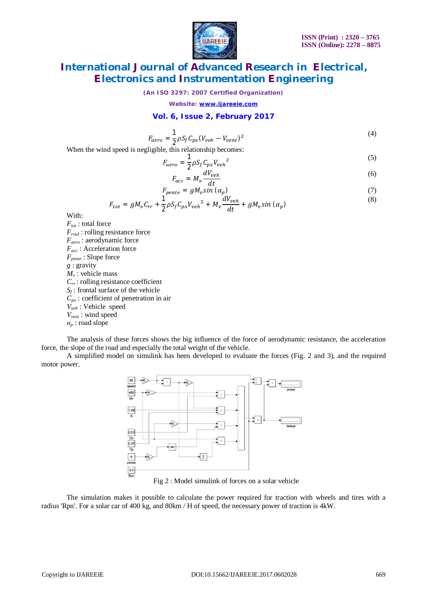

*(An ISO 3297: 2007 Certified Organization)*

*Website: [www.ijareeie.com](http://www.ijareeie.com)*

### **Vol. 6, Issue 2, February 2017**

$$
F_{aero} = \frac{1}{2} \rho S_f C_{px} (V_{veh} - V_{vent})^2
$$
\n
$$
\tag{4}
$$

When the wind speed is negligible, this relationship becomes:

$$
F_{aero} = \frac{1}{2} \rho S_f C_{px} V_{veh}^2 \tag{5}
$$

$$
F_{acc} = M_v \frac{dV_{veh}}{dt} \tag{6}
$$

$$
F_{pente} = gM_v \sin \left(\alpha_p\right) \tag{7}
$$

$$
F_{tot} = gM_v C_{rr} + \frac{1}{2} \rho S_f C_{px} V_{veh}^2 + M_v \frac{dV_{veh}}{dt} + gM_v \sin(\alpha_p)
$$
\n(8)

With:

*Ftot* : total force *Froul* : rolling resistance force *Faero* : aerodynamic force *Facc* : Acceleration force *Fpente* : Slope force *g* : gravity *M<sup>v</sup>* : vehicle mass *Crr* : rolling resistance coefficient *Sf* : frontal surface of the vehicle *Cpx* : coefficient of penetration in air *Vveh* : Vehicle speed *Vvent* : wind speed *α<sup>p</sup>* : road slope

The analysis of these forces shows the big influence of the force of aerodynamic resistance, the acceleration force, the slope of the road and especially the total weight of the vehicle.

A simplified model on simulink has been developed to evaluate the forces (Fig. 2 and 3), and the required motor power.



Fig 2 : Model simulink of forces on a solar vehicle

The simulation makes it possible to calculate the power required for traction with wheels and tires with a radius 'Rpn'. For a solar car of 400 kg, and 80km / H of speed, the necessary power of traction is 4kW.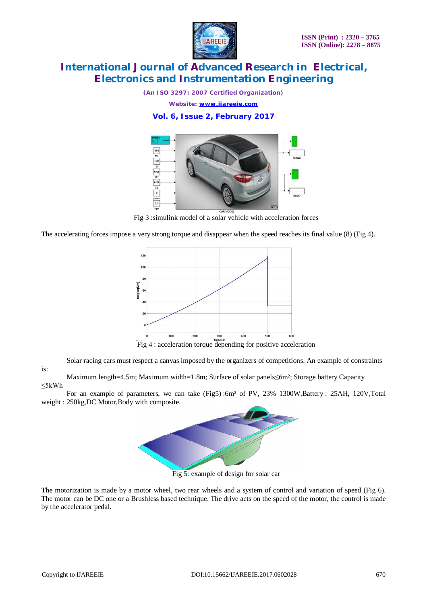

*(An ISO 3297: 2007 Certified Organization)*

*Website: [www.ijareeie.com](http://www.ijareeie.com)*

### **Vol. 6, Issue 2, February 2017**



Fig 3 :simulink model of a solar vehicle with acceleration forces

The accelerating forces impose a very strong torque and disappear when the speed reaches its final value (8) (Fig 4).



Fig 4 : acceleration torque depending for positive acceleration

Solar racing cars must respect a canvas imposed by the organizers of competitions. An example of constraints

is:

Maximum length=4.5m; Maximum width=1.8m; Surface of solar panels≤6m²; Storage battery Capacity ≤5kWh

For an example of parameters, we can take (Fig5) :6m<sup>2</sup> of PV, 23% 1300W,Battery : 25AH, 120V,Total weight : 250kg,DC Motor,Body with composite.



Fig 5: example of design for solar car

The motorization is made by a motor wheel, two rear wheels and a system of control and variation of speed (Fig 6). The motor can be DC one or a Brushless based technique. The drive acts on the speed of the motor, the control is made by the accelerator pedal.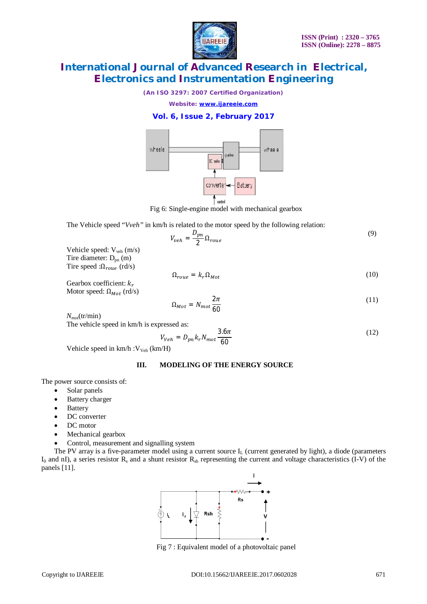

*(An ISO 3297: 2007 Certified Organization)*

*Website: [www.ijareeie.com](http://www.ijareeie.com)*

### **Vol. 6, Issue 2, February 2017**



Fig 6: Single-engine model with mechanical gearbox

The Vehicle speed "*Vveh*" in km/h is related to the motor speed by the following relation:

$$
V_{veh} = \frac{D_{pn}}{2} \Omega_{roue} \tag{9}
$$

Vehicle speed: V<sub>veh</sub> (m/s) Tire diameter:  $D_{pn}$  (m) Tire speed : $\Omega_{roue}$  (rd/s)

$$
\Omega_{roue} = k_r \Omega_{Mot} \tag{10}
$$

Gearbox coefficient:  $k_r$ Motor speed:  $\Omega_{Mot}$  (rd/s)

$$
\Omega_{Mot} = N_{mot} \frac{2\pi}{60} \tag{11}
$$

 $N_{mot}$ (tr/min)

The vehicle speed in km/h is expressed as:

$$
V_{Veh} = D_{pn} k_r N_{mot} \frac{3.6\pi}{60} \tag{12}
$$

Vehicle speed in km/h : V<sub>Veh</sub> (km/H)

### **III. MODELING OF THE ENERGY SOURCE**

The power source consists of:

- Solar panels
- Battery charger
- Battery
- DC converter
- DC motor
- Mechanical gearbox
- Control, measurement and signalling system

The PV array is a five-parameter model using a current source  $I_L$  (current generated by light), a diode (parameters  $I_0$  and nI), a series resistor  $R_s$  and a shunt resistor  $R_{sh}$  representing the current and voltage characteristics (I-V) of the panels [11].



Fig 7 : Equivalent model of a photovoltaic panel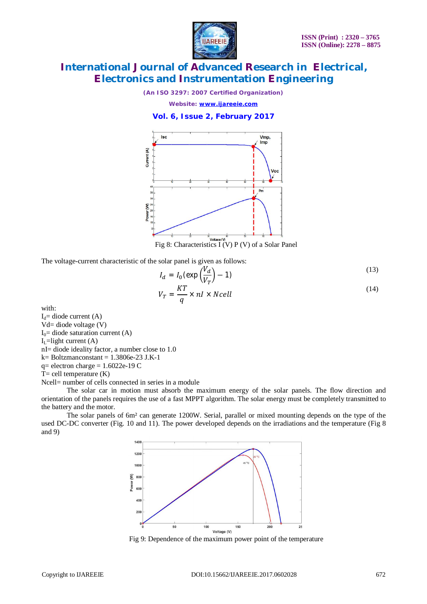

*(An ISO 3297: 2007 Certified Organization)*

*Website: [www.ijareeie.com](http://www.ijareeie.com)*

**Vol. 6, Issue 2, February 2017**



Fig 8: Characteristics I (V) P (V) of a Solar Panel

The voltage-current characteristic of the solar panel is given as follows:

$$
I_d = I_0 \left(\exp\left(\frac{V_d}{V_T}\right) - 1\right) \tag{13}
$$

$$
V_T = \frac{KT}{q} \times nI \times Ncell
$$
\n(14)

with:

 $I_d$ = diode current (A)

Vd= diode voltage (V)

 $I<sub>0</sub>=$  diode saturation current (A)

 $I_L$ =light current (A)

nI= diode ideality factor, a number close to 1.0

k= Boltzmanconstant = 1.3806e-23 J.K-1

 $q =$  electron charge = 1.6022e-19 C

 $T=$  cell temperature  $(K)$ 

Ncell= number of cells connected in series in a module

The solar car in motion must absorb the maximum energy of the solar panels. The flow direction and orientation of the panels requires the use of a fast MPPT algorithm. The solar energy must be completely transmitted to the battery and the motor.

The solar panels of 6m² can generate 1200W. Serial, parallel or mixed mounting depends on the type of the used DC-DC converter (Fig. 10 and 11). The power developed depends on the irradiations and the temperature (Fig 8 and 9)



Fig 9: Dependence of the maximum power point of the temperature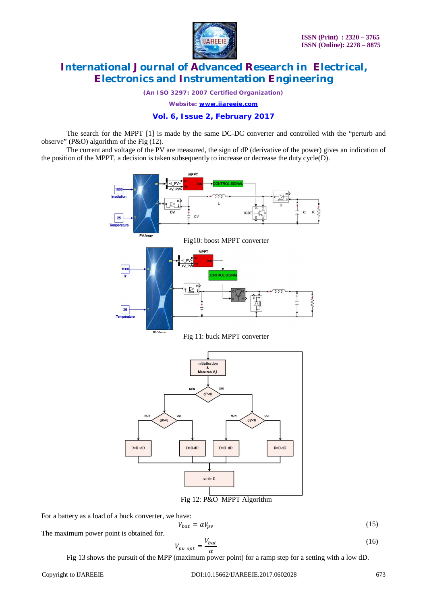

*(An ISO 3297: 2007 Certified Organization)*

*Website: [www.ijareeie.com](http://www.ijareeie.com)*

#### **Vol. 6, Issue 2, February 2017**

The search for the MPPT [1] is made by the same DC-DC converter and controlled with the "perturb and observe" (P&O) algorithm of the Fig (12).

The current and voltage of the PV are measured, the sign of dP (derivative of the power) gives an indication of the position of the MPPT, a decision is taken subsequently to increase or decrease the duty cycle(D).



For a battery as a load of a buck converter, we have:

The maximum power point is obtained for.

$$
V_{pv\_opt} = \frac{V_{bat}}{\alpha} \tag{16}
$$

 $V_{bat} = \alpha V_{nv}$  (15)

Fig 13 shows the pursuit of the MPP (maximum power point) for a ramp step for a setting with a low dD.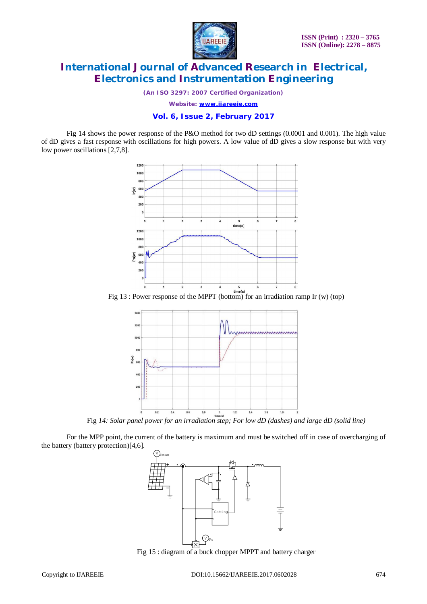

*(An ISO 3297: 2007 Certified Organization)*

*Website: [www.ijareeie.com](http://www.ijareeie.com)*

#### **Vol. 6, Issue 2, February 2017**

Fig 14 shows the power response of the P&O method for two dD settings (0.0001 and 0.001). The high value of dD gives a fast response with oscillations for high powers. A low value of dD gives a slow response but with very low power oscillations [2,7,8].



Fig 13 : Power response of the MPPT (bottom) for an irradiation ramp Ir (w) (top)



Fig *14: Solar panel power for an irradiation step; For low dD (dashes) and large dD (solid line)*

For the MPP point, the current of the battery is maximum and must be switched off in case of overcharging of the battery (battery protection)[4,6].



Fig 15 : diagram of a buck chopper MPPT and battery charger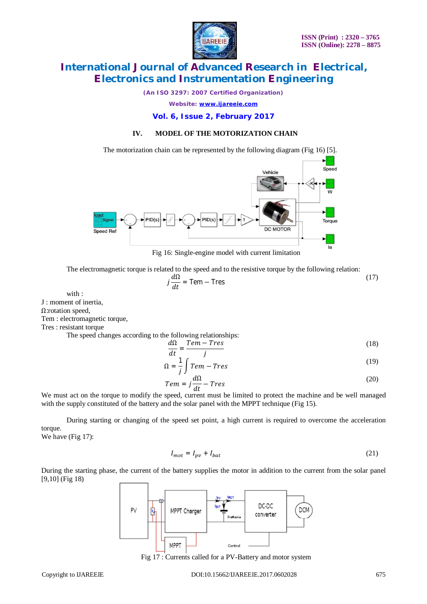

*(An ISO 3297: 2007 Certified Organization)*

*Website: [www.ijareeie.com](http://www.ijareeie.com)*

### **Vol. 6, Issue 2, February 2017**

### **IV. MODEL OF THE MOTORIZATION CHAIN**

The motorization chain can be represented by the following diagram (Fig 16) [5].



Fig 16: Single-engine model with current limitation

The electromagnetic torque is related to the speed and to the resistive torque by the following relation:

$$
j\frac{d\Omega}{dt} = \text{Tem} - \text{Tres}
$$
 (17)

with :

J : moment of inertia,

Ω:rotation speed,

Tem : electromagnetic torque,

Tres : resistant torque

The speed changes according to the following relationships:

$$
\frac{d\Omega}{dt} = \frac{Tem - Tres}{j}
$$
 (18)

$$
\Omega = \frac{1}{j} \int \text{Tem} - \text{Tres} \tag{19}
$$

$$
Tem = j\frac{d\Omega}{dt} - Tres
$$
 (20)

We must act on the torque to modify the speed, current must be limited to protect the machine and be well managed with the supply constituted of the battery and the solar panel with the MPPT technique (Fig 15).

During starting or changing of the speed set point, a high current is required to overcome the acceleration torque.

We have (Fig 17):

$$
I_{mot} = I_{pv} + I_{bat} \tag{21}
$$

During the starting phase, the current of the battery supplies the motor in addition to the current from the solar panel [9,10] (Fig 18)



Fig 17 : Currents called for a PV-Battery and motor system